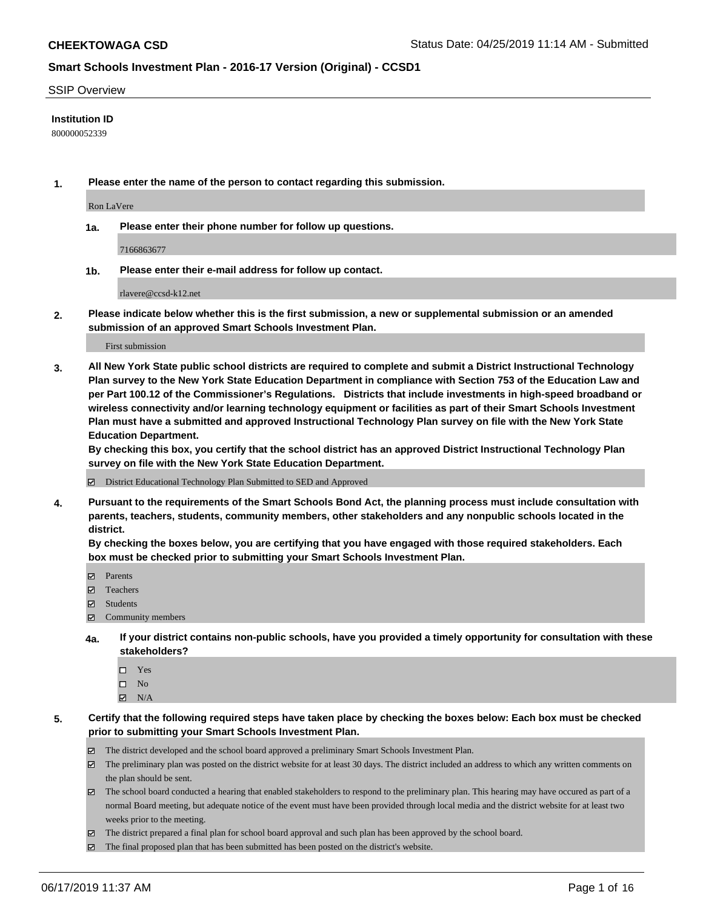#### SSIP Overview

#### **Institution ID**

800000052339

**1. Please enter the name of the person to contact regarding this submission.**

Ron LaVere

**1a. Please enter their phone number for follow up questions.**

7166863677

**1b. Please enter their e-mail address for follow up contact.**

rlavere@ccsd-k12.net

**2. Please indicate below whether this is the first submission, a new or supplemental submission or an amended submission of an approved Smart Schools Investment Plan.**

First submission

**3. All New York State public school districts are required to complete and submit a District Instructional Technology Plan survey to the New York State Education Department in compliance with Section 753 of the Education Law and per Part 100.12 of the Commissioner's Regulations. Districts that include investments in high-speed broadband or wireless connectivity and/or learning technology equipment or facilities as part of their Smart Schools Investment Plan must have a submitted and approved Instructional Technology Plan survey on file with the New York State Education Department.** 

**By checking this box, you certify that the school district has an approved District Instructional Technology Plan survey on file with the New York State Education Department.**

District Educational Technology Plan Submitted to SED and Approved

**4. Pursuant to the requirements of the Smart Schools Bond Act, the planning process must include consultation with parents, teachers, students, community members, other stakeholders and any nonpublic schools located in the district.** 

**By checking the boxes below, you are certifying that you have engaged with those required stakeholders. Each box must be checked prior to submitting your Smart Schools Investment Plan.**

- Parents
- Teachers
- Students
- $\Xi$  Community members
- **4a. If your district contains non-public schools, have you provided a timely opportunity for consultation with these stakeholders?**
	- □ Yes
	- $\square$  No
	- $N/A$

**5. Certify that the following required steps have taken place by checking the boxes below: Each box must be checked prior to submitting your Smart Schools Investment Plan.**

- The district developed and the school board approved a preliminary Smart Schools Investment Plan.
- $\boxtimes$  The preliminary plan was posted on the district website for at least 30 days. The district included an address to which any written comments on the plan should be sent.
- $\boxtimes$  The school board conducted a hearing that enabled stakeholders to respond to the preliminary plan. This hearing may have occured as part of a normal Board meeting, but adequate notice of the event must have been provided through local media and the district website for at least two weeks prior to the meeting.
- The district prepared a final plan for school board approval and such plan has been approved by the school board.
- $\boxtimes$  The final proposed plan that has been submitted has been posted on the district's website.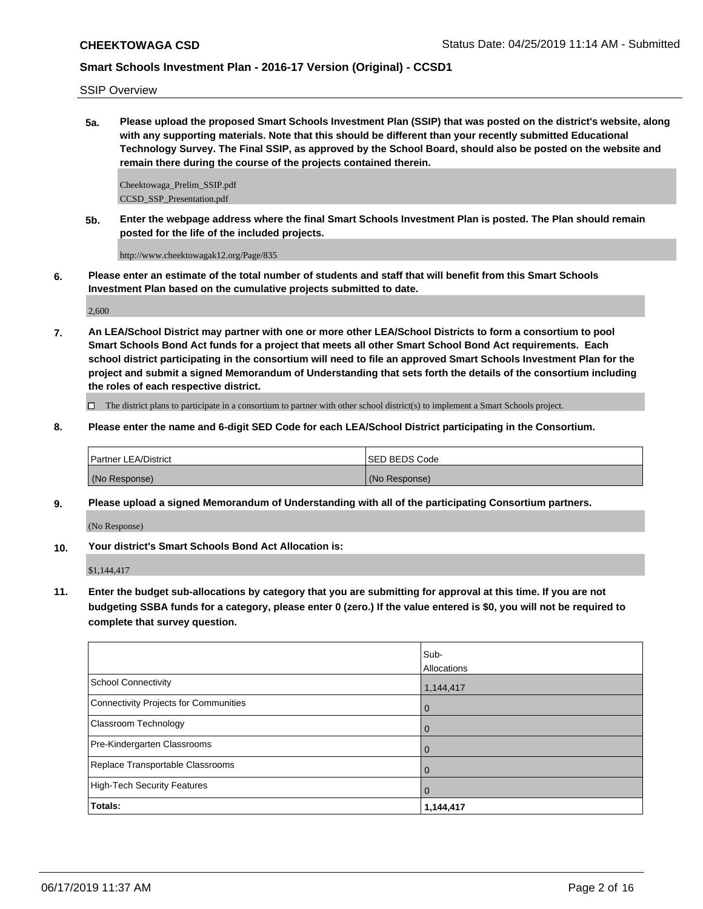SSIP Overview

**5a. Please upload the proposed Smart Schools Investment Plan (SSIP) that was posted on the district's website, along with any supporting materials. Note that this should be different than your recently submitted Educational Technology Survey. The Final SSIP, as approved by the School Board, should also be posted on the website and remain there during the course of the projects contained therein.**

Cheektowaga\_Prelim\_SSIP.pdf CCSD\_SSP\_Presentation.pdf

**5b. Enter the webpage address where the final Smart Schools Investment Plan is posted. The Plan should remain posted for the life of the included projects.**

http://www.cheektowagak12.org/Page/835

**6. Please enter an estimate of the total number of students and staff that will benefit from this Smart Schools Investment Plan based on the cumulative projects submitted to date.**

2,600

**7. An LEA/School District may partner with one or more other LEA/School Districts to form a consortium to pool Smart Schools Bond Act funds for a project that meets all other Smart School Bond Act requirements. Each school district participating in the consortium will need to file an approved Smart Schools Investment Plan for the project and submit a signed Memorandum of Understanding that sets forth the details of the consortium including the roles of each respective district.**

 $\Box$  The district plans to participate in a consortium to partner with other school district(s) to implement a Smart Schools project.

**8. Please enter the name and 6-digit SED Code for each LEA/School District participating in the Consortium.**

| <b>Partner LEA/District</b> | ISED BEDS Code |
|-----------------------------|----------------|
| (No Response)               | (No Response)  |

**9. Please upload a signed Memorandum of Understanding with all of the participating Consortium partners.**

(No Response)

**10. Your district's Smart Schools Bond Act Allocation is:**

\$1,144,417

**11. Enter the budget sub-allocations by category that you are submitting for approval at this time. If you are not budgeting SSBA funds for a category, please enter 0 (zero.) If the value entered is \$0, you will not be required to complete that survey question.**

|                                              | Sub-<br>Allocations |
|----------------------------------------------|---------------------|
| <b>School Connectivity</b>                   | 1,144,417           |
| <b>Connectivity Projects for Communities</b> | $\overline{0}$      |
| Classroom Technology                         | $\overline{0}$      |
| Pre-Kindergarten Classrooms                  | 0                   |
| Replace Transportable Classrooms             | $\mathbf 0$         |
| <b>High-Tech Security Features</b>           | $\mathbf 0$         |
| Totals:                                      | 1,144,417           |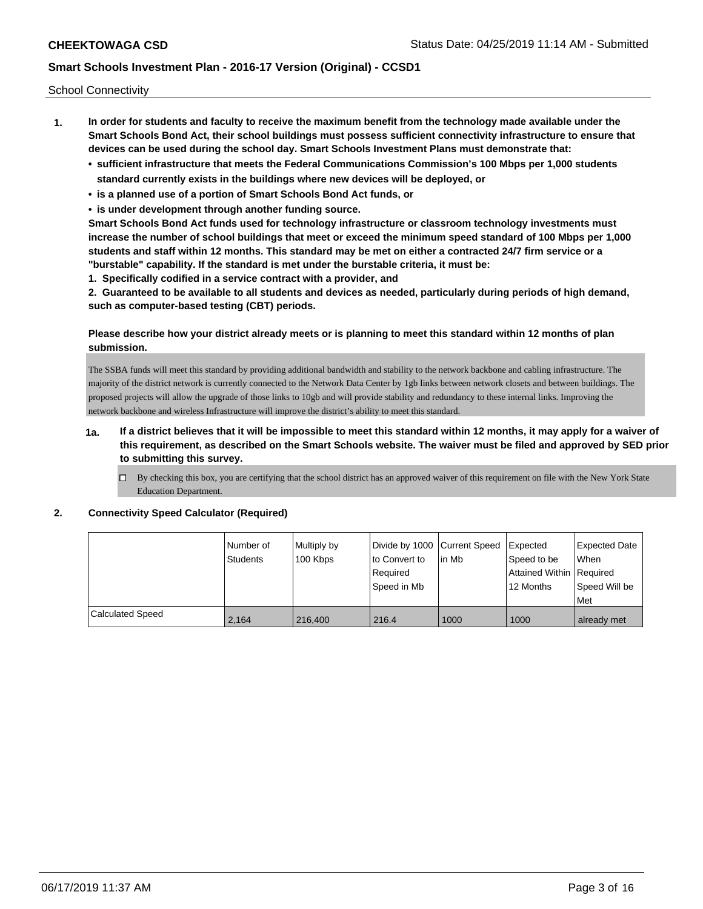School Connectivity

- **1. In order for students and faculty to receive the maximum benefit from the technology made available under the Smart Schools Bond Act, their school buildings must possess sufficient connectivity infrastructure to ensure that devices can be used during the school day. Smart Schools Investment Plans must demonstrate that:**
	- **• sufficient infrastructure that meets the Federal Communications Commission's 100 Mbps per 1,000 students standard currently exists in the buildings where new devices will be deployed, or**
	- **• is a planned use of a portion of Smart Schools Bond Act funds, or**
	- **• is under development through another funding source.**

**Smart Schools Bond Act funds used for technology infrastructure or classroom technology investments must increase the number of school buildings that meet or exceed the minimum speed standard of 100 Mbps per 1,000 students and staff within 12 months. This standard may be met on either a contracted 24/7 firm service or a "burstable" capability. If the standard is met under the burstable criteria, it must be:**

**1. Specifically codified in a service contract with a provider, and**

**2. Guaranteed to be available to all students and devices as needed, particularly during periods of high demand, such as computer-based testing (CBT) periods.**

#### **Please describe how your district already meets or is planning to meet this standard within 12 months of plan submission.**

The SSBA funds will meet this standard by providing additional bandwidth and stability to the network backbone and cabling infrastructure. The majority of the district network is currently connected to the Network Data Center by 1gb links between network closets and between buildings. The proposed projects will allow the upgrade of those links to 10gb and will provide stability and redundancy to these internal links. Improving the network backbone and wireless Infrastructure will improve the district's ability to meet this standard.

### **1a. If a district believes that it will be impossible to meet this standard within 12 months, it may apply for a waiver of this requirement, as described on the Smart Schools website. The waiver must be filed and approved by SED prior to submitting this survey.**

 $\Box$  By checking this box, you are certifying that the school district has an approved waiver of this requirement on file with the New York State Education Department.

#### **2. Connectivity Speed Calculator (Required)**

|                  | Number of<br><b>Students</b> | Multiply by<br>100 Kbps | Divide by 1000 Current Speed<br>to Convert to<br>Required<br>Speed in Mb | lin Mb | Expected<br>Speed to be<br>Attained Within   Required<br>12 Months | <b>Expected Date</b><br>When<br>Speed Will be<br>l Met |
|------------------|------------------------------|-------------------------|--------------------------------------------------------------------------|--------|--------------------------------------------------------------------|--------------------------------------------------------|
| Calculated Speed | 2.164                        | 216,400                 | 216.4                                                                    | 1000   | 1000                                                               | already met                                            |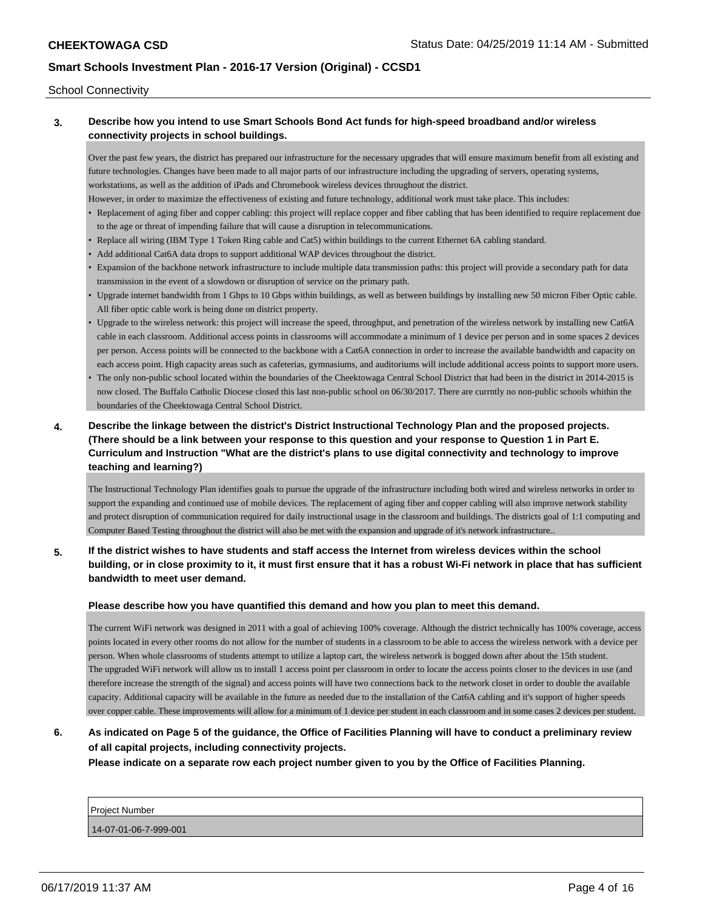#### School Connectivity

### **3. Describe how you intend to use Smart Schools Bond Act funds for high-speed broadband and/or wireless connectivity projects in school buildings.**

Over the past few years, the district has prepared our infrastructure for the necessary upgrades that will ensure maximum benefit from all existing and future technologies. Changes have been made to all major parts of our infrastructure including the upgrading of servers, operating systems, workstations, as well as the addition of iPads and Chromebook wireless devices throughout the district.

- However, in order to maximize the effectiveness of existing and future technology, additional work must take place. This includes:
- Replacement of aging fiber and copper cabling: this project will replace copper and fiber cabling that has been identified to require replacement due to the age or threat of impending failure that will cause a disruption in telecommunications.
- Replace all wiring (IBM Type 1 Token Ring cable and Cat5) within buildings to the current Ethernet 6A cabling standard.
- Add additional Cat6A data drops to support additional WAP devices throughout the district.
- Expansion of the backbone network infrastructure to include multiple data transmission paths: this project will provide a secondary path for data transmission in the event of a slowdown or disruption of service on the primary path.
- Upgrade internet bandwidth from 1 Gbps to 10 Gbps within buildings, as well as between buildings by installing new 50 micron Fiber Optic cable. All fiber optic cable work is being done on district property.
- Upgrade to the wireless network: this project will increase the speed, throughput, and penetration of the wireless network by installing new Cat6A cable in each classroom. Additional access points in classrooms will accommodate a minimum of 1 device per person and in some spaces 2 devices per person. Access points will be connected to the backbone with a Cat6A connection in order to increase the available bandwidth and capacity on each access point. High capacity areas such as cafeterias, gymnasiums, and auditoriums will include additional access points to support more users.
- The only non-public school located within the boundaries of the Cheektowaga Central School District that had been in the district in 2014-2015 is now closed. The Buffalo Catholic Diocese closed this last non-public school on 06/30/2017. There are currntly no non-public schools whithin the boundaries of the Cheektowaga Central School District.

# **4. Describe the linkage between the district's District Instructional Technology Plan and the proposed projects. (There should be a link between your response to this question and your response to Question 1 in Part E. Curriculum and Instruction "What are the district's plans to use digital connectivity and technology to improve teaching and learning?)**

The Instructional Technology Plan identifies goals to pursue the upgrade of the infrastructure including both wired and wireless networks in order to support the expanding and continued use of mobile devices. The replacement of aging fiber and copper cabling will also improve network stability and protect disruption of communication required for daily instructional usage in the classroom and buildings. The districts goal of 1:1 computing and Computer Based Testing throughout the district will also be met with the expansion and upgrade of it's network infrastructure..

### **5. If the district wishes to have students and staff access the Internet from wireless devices within the school building, or in close proximity to it, it must first ensure that it has a robust Wi-Fi network in place that has sufficient bandwidth to meet user demand.**

#### **Please describe how you have quantified this demand and how you plan to meet this demand.**

The current WiFi network was designed in 2011 with a goal of achieving 100% coverage. Although the district technically has 100% coverage, access points located in every other rooms do not allow for the number of students in a classroom to be able to access the wireless network with a device per person. When whole classrooms of students attempt to utilize a laptop cart, the wireless network is bogged down after about the 15th student. The upgraded WiFi network will allow us to install 1 access point per classroom in order to locate the access points closer to the devices in use (and therefore increase the strength of the signal) and access points will have two connections back to the network closet in order to double the available capacity. Additional capacity will be available in the future as needed due to the installation of the Cat6A cabling and it's support of higher speeds over copper cable. These improvements will allow for a minimum of 1 device per student in each classroom and in some cases 2 devices per student.

# **6. As indicated on Page 5 of the guidance, the Office of Facilities Planning will have to conduct a preliminary review of all capital projects, including connectivity projects.**

**Please indicate on a separate row each project number given to you by the Office of Facilities Planning.**

Project Number 14-07-01-06-7-999-001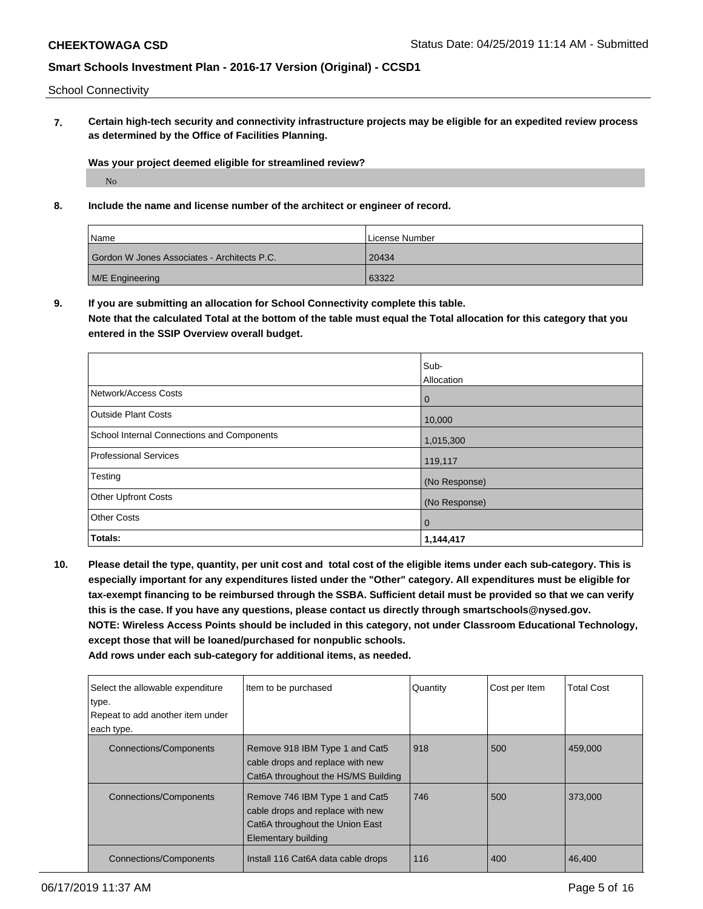School Connectivity

**7. Certain high-tech security and connectivity infrastructure projects may be eligible for an expedited review process as determined by the Office of Facilities Planning.**

**Was your project deemed eligible for streamlined review?**

No

**8. Include the name and license number of the architect or engineer of record.**

| Name                                        | License Number |
|---------------------------------------------|----------------|
| Gordon W Jones Associates - Architects P.C. | 20434          |
| M/E Engineering                             | 63322          |

**9. If you are submitting an allocation for School Connectivity complete this table.**

**Note that the calculated Total at the bottom of the table must equal the Total allocation for this category that you entered in the SSIP Overview overall budget.** 

|                                            | Sub-          |
|--------------------------------------------|---------------|
|                                            | Allocation    |
| Network/Access Costs                       | l 0           |
| Outside Plant Costs                        | 10,000        |
| School Internal Connections and Components | 1,015,300     |
| Professional Services                      | 119,117       |
| Testing                                    | (No Response) |
| <b>Other Upfront Costs</b>                 | (No Response) |
| <b>Other Costs</b>                         | l 0           |
| Totals:                                    | 1,144,417     |

**10. Please detail the type, quantity, per unit cost and total cost of the eligible items under each sub-category. This is especially important for any expenditures listed under the "Other" category. All expenditures must be eligible for tax-exempt financing to be reimbursed through the SSBA. Sufficient detail must be provided so that we can verify this is the case. If you have any questions, please contact us directly through smartschools@nysed.gov. NOTE: Wireless Access Points should be included in this category, not under Classroom Educational Technology, except those that will be loaned/purchased for nonpublic schools.**

| Select the allowable expenditure<br>type.<br>Repeat to add another item under<br>each type. | Item to be purchased                                                                                                         | Quantity | Cost per Item | <b>Total Cost</b> |
|---------------------------------------------------------------------------------------------|------------------------------------------------------------------------------------------------------------------------------|----------|---------------|-------------------|
| <b>Connections/Components</b>                                                               | Remove 918 IBM Type 1 and Cat5<br>cable drops and replace with new<br>Cat6A throughout the HS/MS Building                    | 918      | 500           | 459,000           |
| <b>Connections/Components</b>                                                               | Remove 746 IBM Type 1 and Cat5<br>cable drops and replace with new<br>Cat6A throughout the Union East<br>Elementary building | 746      | 500           | 373,000           |
| Connections/Components                                                                      | Install 116 Cat6A data cable drops                                                                                           | 116      | 400           | 46,400            |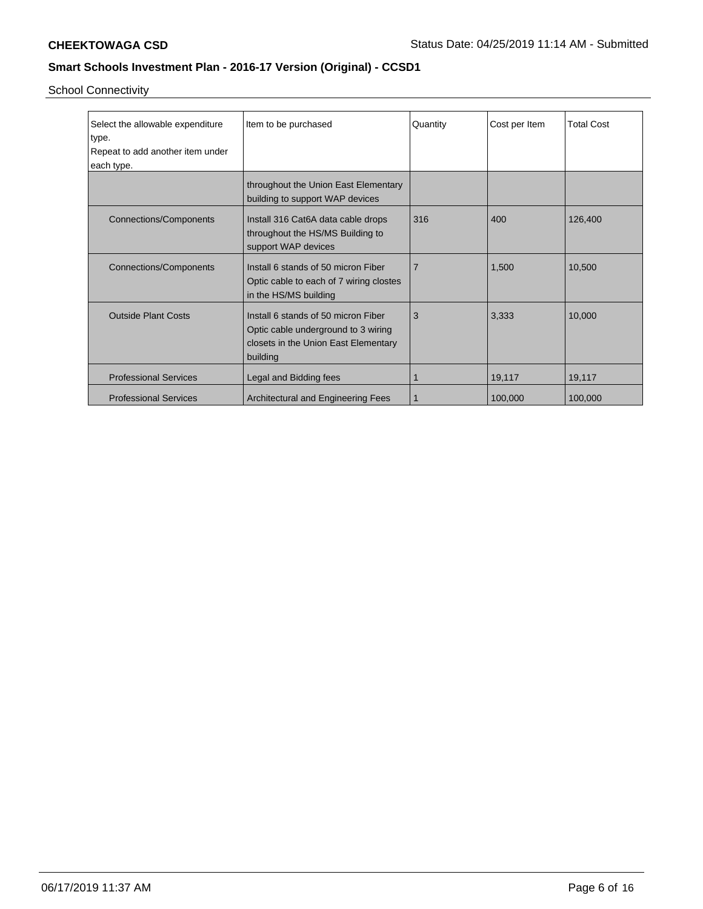School Connectivity

| Select the allowable expenditure | Item to be purchased                                                                                                           | Quantity | Cost per Item | <b>Total Cost</b> |
|----------------------------------|--------------------------------------------------------------------------------------------------------------------------------|----------|---------------|-------------------|
| type.                            |                                                                                                                                |          |               |                   |
| Repeat to add another item under |                                                                                                                                |          |               |                   |
| each type.                       |                                                                                                                                |          |               |                   |
|                                  | throughout the Union East Elementary<br>building to support WAP devices                                                        |          |               |                   |
| <b>Connections/Components</b>    | Install 316 Cat6A data cable drops<br>throughout the HS/MS Building to<br>support WAP devices                                  | 316      | 400           | 126,400           |
| <b>Connections/Components</b>    | Install 6 stands of 50 micron Fiber<br>Optic cable to each of 7 wiring clostes<br>in the HS/MS building                        | 7        | 1,500         | 10,500            |
| <b>Outside Plant Costs</b>       | Install 6 stands of 50 micron Fiber<br>Optic cable underground to 3 wiring<br>closets in the Union East Elementary<br>building | 3        | 3,333         | 10,000            |
| <b>Professional Services</b>     | Legal and Bidding fees                                                                                                         |          | 19,117        | 19,117            |
| <b>Professional Services</b>     | Architectural and Engineering Fees                                                                                             |          | 100,000       | 100,000           |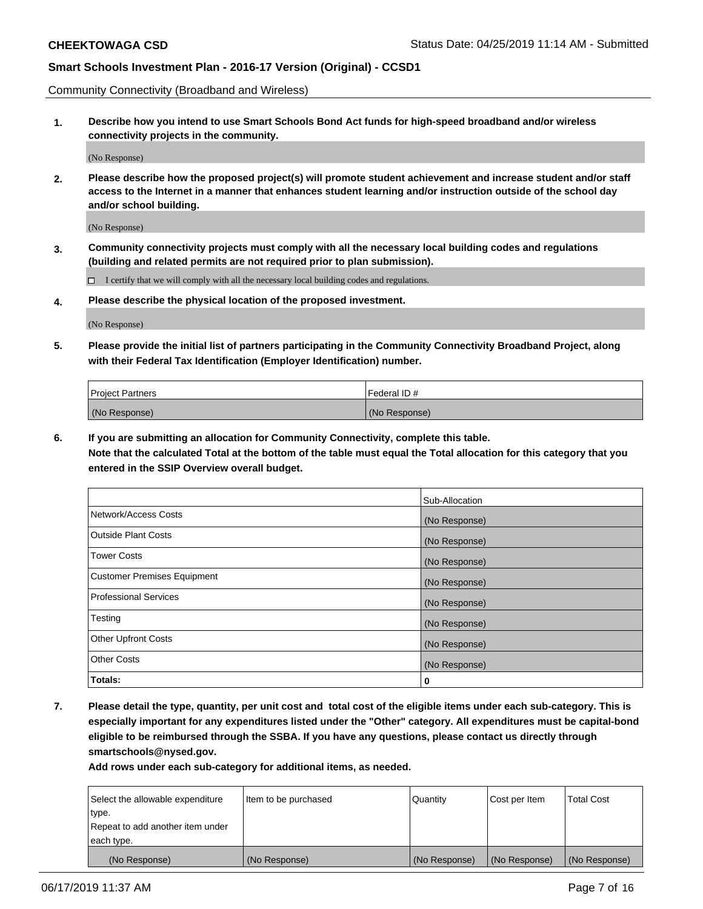Community Connectivity (Broadband and Wireless)

**1. Describe how you intend to use Smart Schools Bond Act funds for high-speed broadband and/or wireless connectivity projects in the community.**

(No Response)

**2. Please describe how the proposed project(s) will promote student achievement and increase student and/or staff access to the Internet in a manner that enhances student learning and/or instruction outside of the school day and/or school building.**

(No Response)

**3. Community connectivity projects must comply with all the necessary local building codes and regulations (building and related permits are not required prior to plan submission).**

 $\Box$  I certify that we will comply with all the necessary local building codes and regulations.

**4. Please describe the physical location of the proposed investment.**

(No Response)

**5. Please provide the initial list of partners participating in the Community Connectivity Broadband Project, along with their Federal Tax Identification (Employer Identification) number.**

| <b>Project Partners</b> | l Federal ID # |
|-------------------------|----------------|
| (No Response)           | (No Response)  |

**6. If you are submitting an allocation for Community Connectivity, complete this table.**

**Note that the calculated Total at the bottom of the table must equal the Total allocation for this category that you entered in the SSIP Overview overall budget.**

|                              | Sub-Allocation |
|------------------------------|----------------|
| Network/Access Costs         | (No Response)  |
| Outside Plant Costs          | (No Response)  |
| <b>Tower Costs</b>           | (No Response)  |
| Customer Premises Equipment  | (No Response)  |
| <b>Professional Services</b> | (No Response)  |
| Testing                      | (No Response)  |
| <b>Other Upfront Costs</b>   | (No Response)  |
| <b>Other Costs</b>           | (No Response)  |
| Totals:                      | 0              |

**7. Please detail the type, quantity, per unit cost and total cost of the eligible items under each sub-category. This is especially important for any expenditures listed under the "Other" category. All expenditures must be capital-bond eligible to be reimbursed through the SSBA. If you have any questions, please contact us directly through smartschools@nysed.gov.**

| Select the allowable expenditure | Item to be purchased | Quantity      | Cost per Item | <b>Total Cost</b> |
|----------------------------------|----------------------|---------------|---------------|-------------------|
| type.                            |                      |               |               |                   |
| Repeat to add another item under |                      |               |               |                   |
| each type.                       |                      |               |               |                   |
| (No Response)                    | (No Response)        | (No Response) | (No Response) | (No Response)     |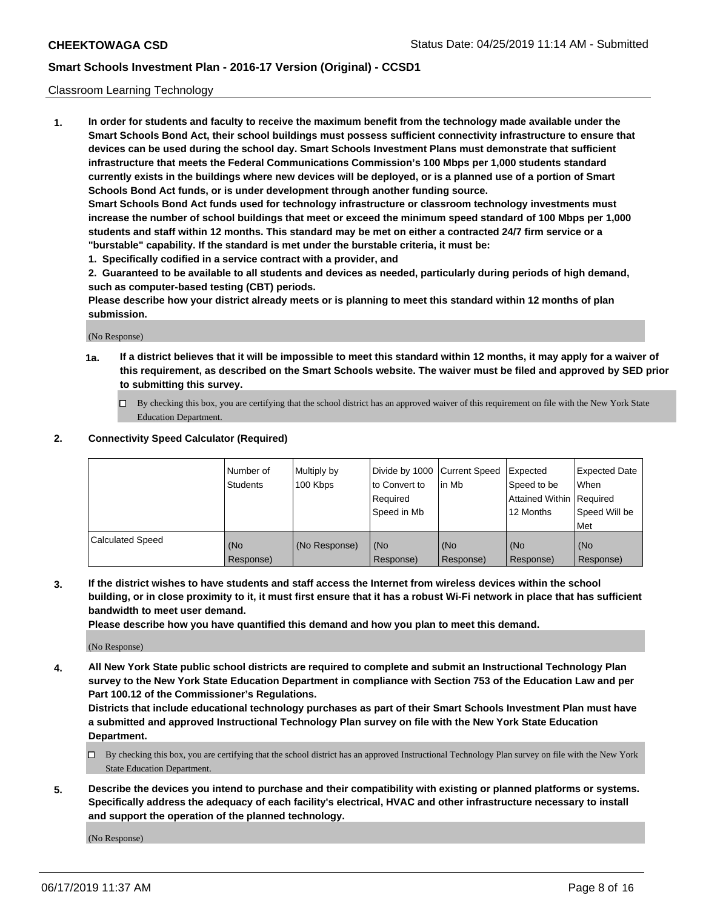#### Classroom Learning Technology

**1. In order for students and faculty to receive the maximum benefit from the technology made available under the Smart Schools Bond Act, their school buildings must possess sufficient connectivity infrastructure to ensure that devices can be used during the school day. Smart Schools Investment Plans must demonstrate that sufficient infrastructure that meets the Federal Communications Commission's 100 Mbps per 1,000 students standard currently exists in the buildings where new devices will be deployed, or is a planned use of a portion of Smart Schools Bond Act funds, or is under development through another funding source. Smart Schools Bond Act funds used for technology infrastructure or classroom technology investments must increase the number of school buildings that meet or exceed the minimum speed standard of 100 Mbps per 1,000**

**students and staff within 12 months. This standard may be met on either a contracted 24/7 firm service or a "burstable" capability. If the standard is met under the burstable criteria, it must be:**

**1. Specifically codified in a service contract with a provider, and**

**2. Guaranteed to be available to all students and devices as needed, particularly during periods of high demand, such as computer-based testing (CBT) periods.**

**Please describe how your district already meets or is planning to meet this standard within 12 months of plan submission.**

(No Response)

- **1a. If a district believes that it will be impossible to meet this standard within 12 months, it may apply for a waiver of this requirement, as described on the Smart Schools website. The waiver must be filed and approved by SED prior to submitting this survey.**
	- By checking this box, you are certifying that the school district has an approved waiver of this requirement on file with the New York State Education Department.

#### **2. Connectivity Speed Calculator (Required)**

|                         | l Number of<br>Students | Multiply by<br>100 Kbps | to Convert to<br>Required<br>Speed in Mb | Divide by 1000 Current Speed Expected<br>lin Mb | Speed to be<br>Attained Within Required<br>12 Months | Expected Date<br>When<br>Speed Will be<br>Met |
|-------------------------|-------------------------|-------------------------|------------------------------------------|-------------------------------------------------|------------------------------------------------------|-----------------------------------------------|
| <b>Calculated Speed</b> | (No<br>Response)        | (No Response)           | (No<br>Response)                         | (No<br>Response)                                | (No<br>Response)                                     | (No<br>Response)                              |

**3. If the district wishes to have students and staff access the Internet from wireless devices within the school building, or in close proximity to it, it must first ensure that it has a robust Wi-Fi network in place that has sufficient bandwidth to meet user demand.**

**Please describe how you have quantified this demand and how you plan to meet this demand.**

(No Response)

**4. All New York State public school districts are required to complete and submit an Instructional Technology Plan survey to the New York State Education Department in compliance with Section 753 of the Education Law and per Part 100.12 of the Commissioner's Regulations.**

**Districts that include educational technology purchases as part of their Smart Schools Investment Plan must have a submitted and approved Instructional Technology Plan survey on file with the New York State Education Department.**

- $\Box$  By checking this box, you are certifying that the school district has an approved Instructional Technology Plan survey on file with the New York State Education Department.
- **5. Describe the devices you intend to purchase and their compatibility with existing or planned platforms or systems. Specifically address the adequacy of each facility's electrical, HVAC and other infrastructure necessary to install and support the operation of the planned technology.**

(No Response)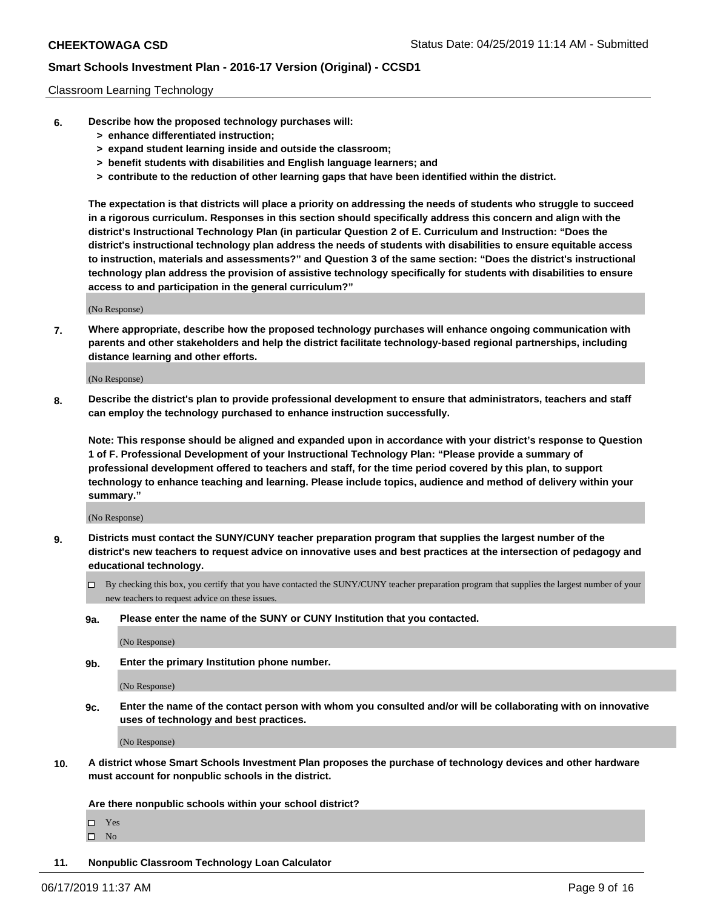#### Classroom Learning Technology

- **6. Describe how the proposed technology purchases will:**
	- **> enhance differentiated instruction;**
	- **> expand student learning inside and outside the classroom;**
	- **> benefit students with disabilities and English language learners; and**
	- **> contribute to the reduction of other learning gaps that have been identified within the district.**

**The expectation is that districts will place a priority on addressing the needs of students who struggle to succeed in a rigorous curriculum. Responses in this section should specifically address this concern and align with the district's Instructional Technology Plan (in particular Question 2 of E. Curriculum and Instruction: "Does the district's instructional technology plan address the needs of students with disabilities to ensure equitable access to instruction, materials and assessments?" and Question 3 of the same section: "Does the district's instructional technology plan address the provision of assistive technology specifically for students with disabilities to ensure access to and participation in the general curriculum?"**

(No Response)

**7. Where appropriate, describe how the proposed technology purchases will enhance ongoing communication with parents and other stakeholders and help the district facilitate technology-based regional partnerships, including distance learning and other efforts.**

(No Response)

**8. Describe the district's plan to provide professional development to ensure that administrators, teachers and staff can employ the technology purchased to enhance instruction successfully.**

**Note: This response should be aligned and expanded upon in accordance with your district's response to Question 1 of F. Professional Development of your Instructional Technology Plan: "Please provide a summary of professional development offered to teachers and staff, for the time period covered by this plan, to support technology to enhance teaching and learning. Please include topics, audience and method of delivery within your summary."**

(No Response)

- **9. Districts must contact the SUNY/CUNY teacher preparation program that supplies the largest number of the district's new teachers to request advice on innovative uses and best practices at the intersection of pedagogy and educational technology.**
	- By checking this box, you certify that you have contacted the SUNY/CUNY teacher preparation program that supplies the largest number of your new teachers to request advice on these issues.
	- **9a. Please enter the name of the SUNY or CUNY Institution that you contacted.**

(No Response)

**9b. Enter the primary Institution phone number.**

(No Response)

**9c. Enter the name of the contact person with whom you consulted and/or will be collaborating with on innovative uses of technology and best practices.**

(No Response)

**10. A district whose Smart Schools Investment Plan proposes the purchase of technology devices and other hardware must account for nonpublic schools in the district.**

**Are there nonpublic schools within your school district?**

Yes

 $\square$  No

**11. Nonpublic Classroom Technology Loan Calculator**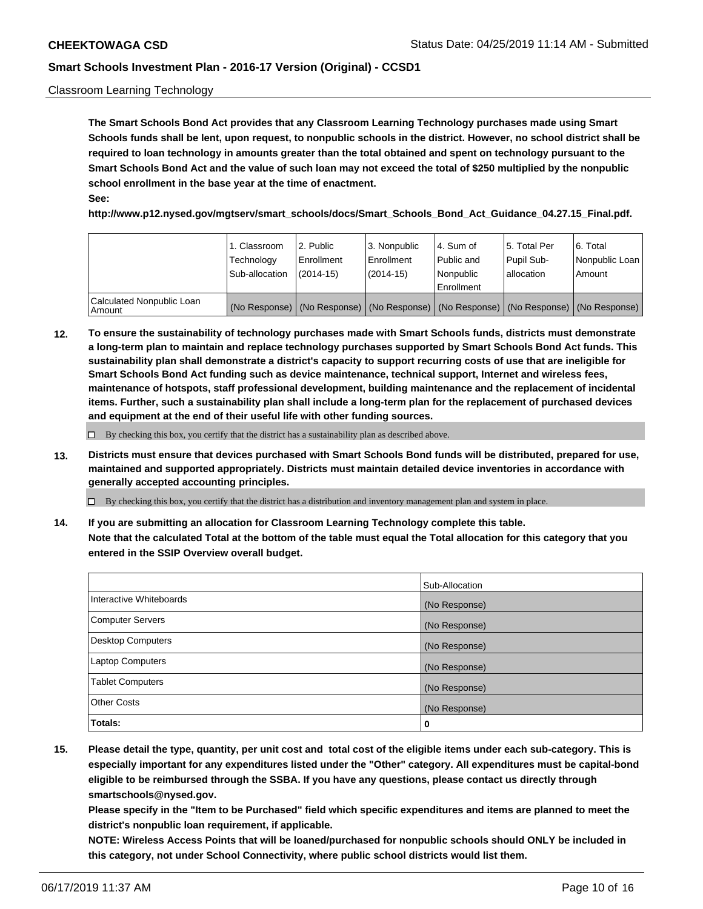#### Classroom Learning Technology

**The Smart Schools Bond Act provides that any Classroom Learning Technology purchases made using Smart Schools funds shall be lent, upon request, to nonpublic schools in the district. However, no school district shall be required to loan technology in amounts greater than the total obtained and spent on technology pursuant to the Smart Schools Bond Act and the value of such loan may not exceed the total of \$250 multiplied by the nonpublic school enrollment in the base year at the time of enactment. See:**

**http://www.p12.nysed.gov/mgtserv/smart\_schools/docs/Smart\_Schools\_Bond\_Act\_Guidance\_04.27.15\_Final.pdf.**

|                                       | 1. Classroom<br>Technology<br>Sub-allocation | 2. Public<br>l Enrollment<br>$(2014 - 15)$ | l 3. Nonpublic<br>l Enrollment<br>$(2014 - 15)$ | l 4. Sum of<br>Public and<br>l Nonpublic<br>Enrollment                                        | 15. Total Per<br>Pupil Sub-<br>l allocation | l 6. Total<br>Nonpublic Loan<br>Amount |
|---------------------------------------|----------------------------------------------|--------------------------------------------|-------------------------------------------------|-----------------------------------------------------------------------------------------------|---------------------------------------------|----------------------------------------|
| Calculated Nonpublic Loan<br>l Amount |                                              |                                            |                                                 | (No Response)   (No Response)   (No Response)   (No Response)   (No Response)   (No Response) |                                             |                                        |

**12. To ensure the sustainability of technology purchases made with Smart Schools funds, districts must demonstrate a long-term plan to maintain and replace technology purchases supported by Smart Schools Bond Act funds. This sustainability plan shall demonstrate a district's capacity to support recurring costs of use that are ineligible for Smart Schools Bond Act funding such as device maintenance, technical support, Internet and wireless fees, maintenance of hotspots, staff professional development, building maintenance and the replacement of incidental items. Further, such a sustainability plan shall include a long-term plan for the replacement of purchased devices and equipment at the end of their useful life with other funding sources.**

 $\Box$  By checking this box, you certify that the district has a sustainability plan as described above.

**13. Districts must ensure that devices purchased with Smart Schools Bond funds will be distributed, prepared for use, maintained and supported appropriately. Districts must maintain detailed device inventories in accordance with generally accepted accounting principles.**

By checking this box, you certify that the district has a distribution and inventory management plan and system in place.

**14. If you are submitting an allocation for Classroom Learning Technology complete this table. Note that the calculated Total at the bottom of the table must equal the Total allocation for this category that you entered in the SSIP Overview overall budget.**

|                          | Sub-Allocation |
|--------------------------|----------------|
| Interactive Whiteboards  | (No Response)  |
| <b>Computer Servers</b>  | (No Response)  |
| <b>Desktop Computers</b> | (No Response)  |
| <b>Laptop Computers</b>  | (No Response)  |
| <b>Tablet Computers</b>  | (No Response)  |
| <b>Other Costs</b>       | (No Response)  |
| Totals:                  | 0              |

**15. Please detail the type, quantity, per unit cost and total cost of the eligible items under each sub-category. This is especially important for any expenditures listed under the "Other" category. All expenditures must be capital-bond eligible to be reimbursed through the SSBA. If you have any questions, please contact us directly through smartschools@nysed.gov.**

**Please specify in the "Item to be Purchased" field which specific expenditures and items are planned to meet the district's nonpublic loan requirement, if applicable.**

**NOTE: Wireless Access Points that will be loaned/purchased for nonpublic schools should ONLY be included in this category, not under School Connectivity, where public school districts would list them.**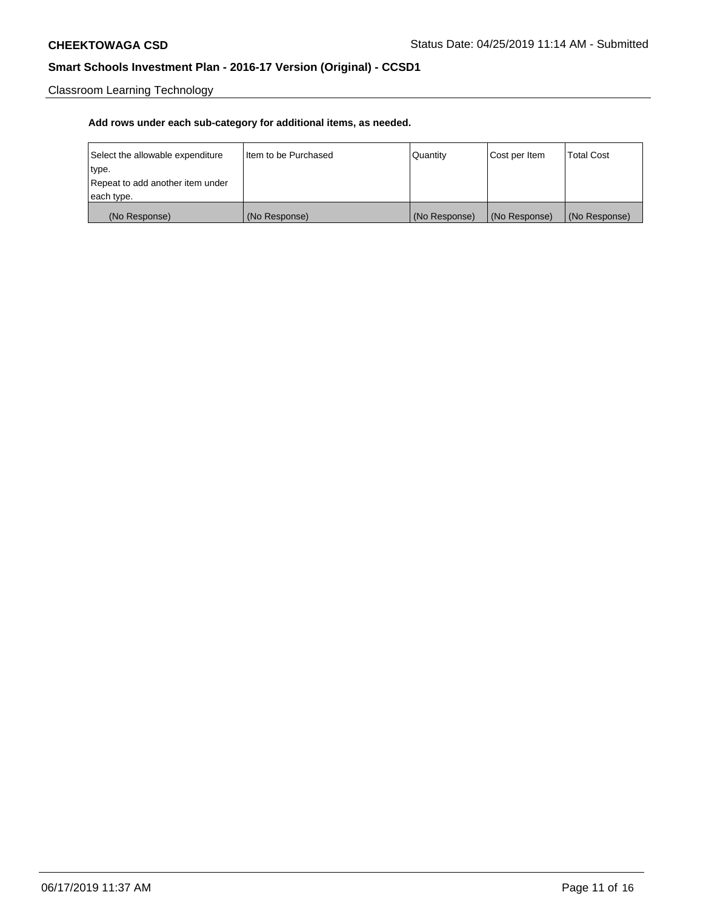Classroom Learning Technology

| Select the allowable expenditure | I Item to be Purchased | Quantity      | Cost per Item | <b>Total Cost</b> |
|----------------------------------|------------------------|---------------|---------------|-------------------|
| type.                            |                        |               |               |                   |
| Repeat to add another item under |                        |               |               |                   |
| each type.                       |                        |               |               |                   |
| (No Response)                    | (No Response)          | (No Response) | (No Response) | (No Response)     |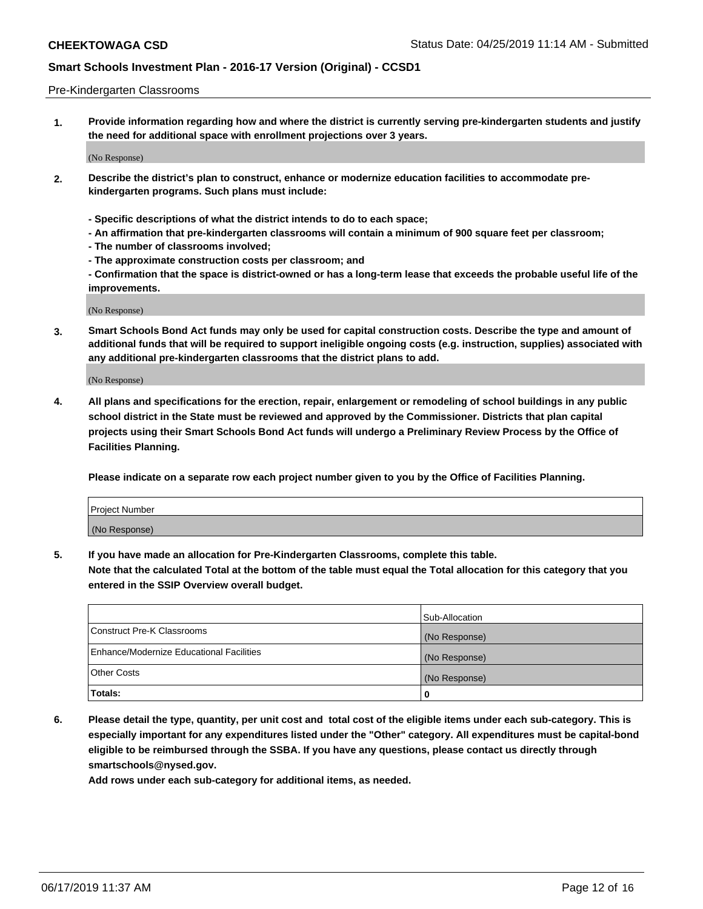#### Pre-Kindergarten Classrooms

**1. Provide information regarding how and where the district is currently serving pre-kindergarten students and justify the need for additional space with enrollment projections over 3 years.**

(No Response)

- **2. Describe the district's plan to construct, enhance or modernize education facilities to accommodate prekindergarten programs. Such plans must include:**
	- **Specific descriptions of what the district intends to do to each space;**
	- **An affirmation that pre-kindergarten classrooms will contain a minimum of 900 square feet per classroom;**
	- **The number of classrooms involved;**
	- **The approximate construction costs per classroom; and**
	- **Confirmation that the space is district-owned or has a long-term lease that exceeds the probable useful life of the improvements.**

(No Response)

**3. Smart Schools Bond Act funds may only be used for capital construction costs. Describe the type and amount of additional funds that will be required to support ineligible ongoing costs (e.g. instruction, supplies) associated with any additional pre-kindergarten classrooms that the district plans to add.**

(No Response)

**4. All plans and specifications for the erection, repair, enlargement or remodeling of school buildings in any public school district in the State must be reviewed and approved by the Commissioner. Districts that plan capital projects using their Smart Schools Bond Act funds will undergo a Preliminary Review Process by the Office of Facilities Planning.**

**Please indicate on a separate row each project number given to you by the Office of Facilities Planning.**

| Project Number |  |
|----------------|--|
| (No Response)  |  |
|                |  |

**5. If you have made an allocation for Pre-Kindergarten Classrooms, complete this table.**

**Note that the calculated Total at the bottom of the table must equal the Total allocation for this category that you entered in the SSIP Overview overall budget.**

|                                          | Sub-Allocation |
|------------------------------------------|----------------|
| Construct Pre-K Classrooms               | (No Response)  |
| Enhance/Modernize Educational Facilities | (No Response)  |
| <b>Other Costs</b>                       | (No Response)  |
| Totals:                                  | 0              |

**6. Please detail the type, quantity, per unit cost and total cost of the eligible items under each sub-category. This is especially important for any expenditures listed under the "Other" category. All expenditures must be capital-bond eligible to be reimbursed through the SSBA. If you have any questions, please contact us directly through smartschools@nysed.gov.**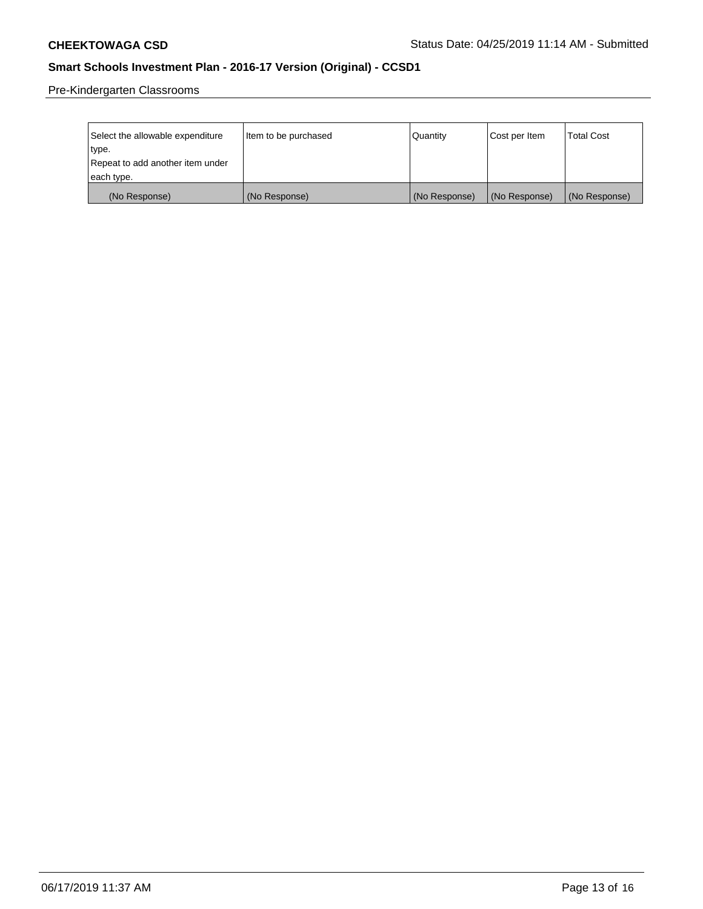Pre-Kindergarten Classrooms

| Select the allowable expenditure<br>type. | Item to be purchased | l Quantitv    | Cost per Item | <b>Total Cost</b> |
|-------------------------------------------|----------------------|---------------|---------------|-------------------|
| Repeat to add another item under          |                      |               |               |                   |
| each type.                                |                      |               |               |                   |
| (No Response)                             | (No Response)        | (No Response) | (No Response) | (No Response)     |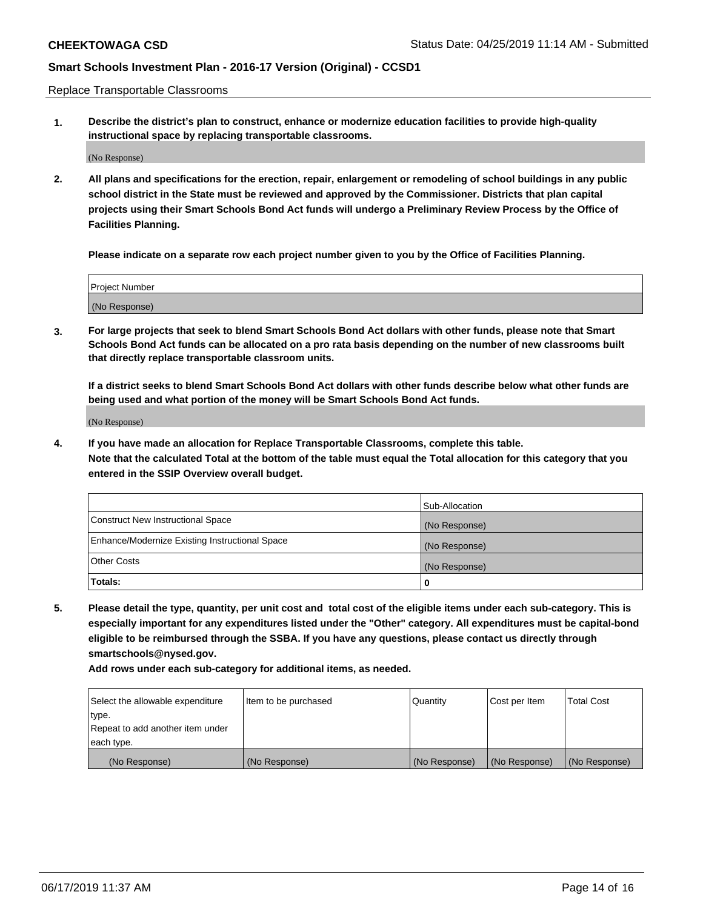Replace Transportable Classrooms

**1. Describe the district's plan to construct, enhance or modernize education facilities to provide high-quality instructional space by replacing transportable classrooms.**

(No Response)

**2. All plans and specifications for the erection, repair, enlargement or remodeling of school buildings in any public school district in the State must be reviewed and approved by the Commissioner. Districts that plan capital projects using their Smart Schools Bond Act funds will undergo a Preliminary Review Process by the Office of Facilities Planning.**

**Please indicate on a separate row each project number given to you by the Office of Facilities Planning.**

| Project Number |  |
|----------------|--|
|                |  |
|                |  |
|                |  |
|                |  |
| (No Response)  |  |
|                |  |
|                |  |
|                |  |

**3. For large projects that seek to blend Smart Schools Bond Act dollars with other funds, please note that Smart Schools Bond Act funds can be allocated on a pro rata basis depending on the number of new classrooms built that directly replace transportable classroom units.**

**If a district seeks to blend Smart Schools Bond Act dollars with other funds describe below what other funds are being used and what portion of the money will be Smart Schools Bond Act funds.**

(No Response)

**4. If you have made an allocation for Replace Transportable Classrooms, complete this table. Note that the calculated Total at the bottom of the table must equal the Total allocation for this category that you entered in the SSIP Overview overall budget.**

|                                                | Sub-Allocation |
|------------------------------------------------|----------------|
| Construct New Instructional Space              | (No Response)  |
| Enhance/Modernize Existing Instructional Space | (No Response)  |
| <b>Other Costs</b>                             | (No Response)  |
| Totals:                                        | 0              |

**5. Please detail the type, quantity, per unit cost and total cost of the eligible items under each sub-category. This is especially important for any expenditures listed under the "Other" category. All expenditures must be capital-bond eligible to be reimbursed through the SSBA. If you have any questions, please contact us directly through smartschools@nysed.gov.**

| Select the allowable expenditure | Item to be purchased | l Quantitv    | Cost per Item | <b>Total Cost</b> |
|----------------------------------|----------------------|---------------|---------------|-------------------|
| type.                            |                      |               |               |                   |
| Repeat to add another item under |                      |               |               |                   |
| each type.                       |                      |               |               |                   |
| (No Response)                    | (No Response)        | (No Response) | (No Response) | (No Response)     |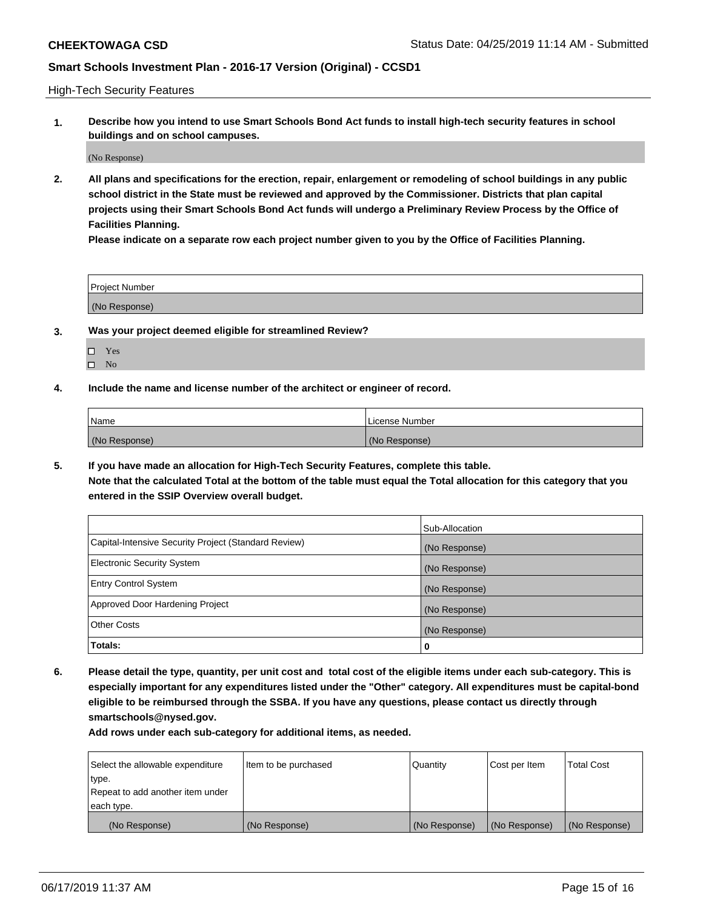High-Tech Security Features

**1. Describe how you intend to use Smart Schools Bond Act funds to install high-tech security features in school buildings and on school campuses.**

(No Response)

**2. All plans and specifications for the erection, repair, enlargement or remodeling of school buildings in any public school district in the State must be reviewed and approved by the Commissioner. Districts that plan capital projects using their Smart Schools Bond Act funds will undergo a Preliminary Review Process by the Office of Facilities Planning.** 

**Please indicate on a separate row each project number given to you by the Office of Facilities Planning.**

| <b>Project Number</b> |  |
|-----------------------|--|
| (No Response)         |  |

- **3. Was your project deemed eligible for streamlined Review?**
	- Yes
	- $\square$  No
- **4. Include the name and license number of the architect or engineer of record.**

| <b>Name</b>   | License Number |
|---------------|----------------|
| (No Response) | (No Response)  |

**5. If you have made an allocation for High-Tech Security Features, complete this table.**

**Note that the calculated Total at the bottom of the table must equal the Total allocation for this category that you entered in the SSIP Overview overall budget.**

|                                                      | Sub-Allocation |
|------------------------------------------------------|----------------|
| Capital-Intensive Security Project (Standard Review) | (No Response)  |
| <b>Electronic Security System</b>                    | (No Response)  |
| <b>Entry Control System</b>                          | (No Response)  |
| Approved Door Hardening Project                      | (No Response)  |
| <b>Other Costs</b>                                   | (No Response)  |
| Totals:                                              | 0              |

**6. Please detail the type, quantity, per unit cost and total cost of the eligible items under each sub-category. This is especially important for any expenditures listed under the "Other" category. All expenditures must be capital-bond eligible to be reimbursed through the SSBA. If you have any questions, please contact us directly through smartschools@nysed.gov.**

| Select the allowable expenditure | Item to be purchased | <b>Quantity</b> | Cost per Item | Total Cost    |
|----------------------------------|----------------------|-----------------|---------------|---------------|
| type.                            |                      |                 |               |               |
| Repeat to add another item under |                      |                 |               |               |
| each type.                       |                      |                 |               |               |
| (No Response)                    | (No Response)        | (No Response)   | (No Response) | (No Response) |